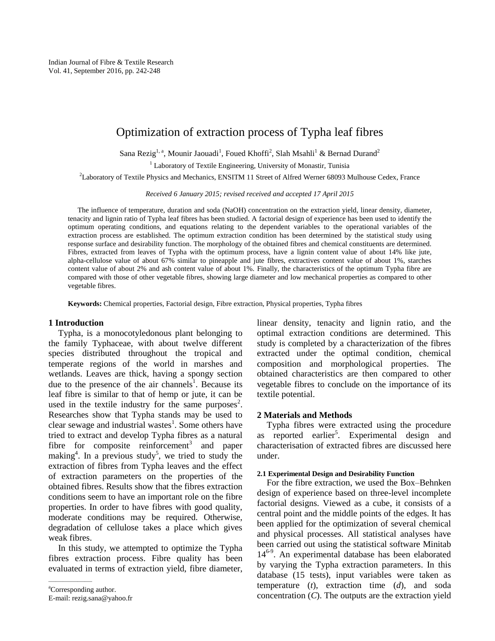# Optimization of extraction process of Typha leaf fibres

Sana Rezig<sup>1, a</sup>, Mounir Jaouadi<sup>1</sup>, Foued Khoffi<sup>2</sup>, Slah Msahli<sup>1</sup> & Bernad Durand<sup>2</sup>

<sup>1</sup> Laboratory of Textile Engineering, University of Monastir, Tunisia

<sup>2</sup>Laboratory of Textile Physics and Mechanics, ENSITM 11 Street of Alfred Werner 68093 Mulhouse Cedex, France

*Received 6 January 2015; revised received and accepted 17 April 2015*

The influence of temperature, duration and soda (NaOH) concentration on the extraction yield, linear density, diameter, tenacity and lignin ratio of Typha leaf fibres has been studied. A factorial design of experience has been used to identify the optimum operating conditions, and equations relating to the dependent variables to the operational variables of the extraction process are established. The optimum extraction condition has been determined by the statistical study using response surface and desirability function. The morphology of the obtained fibres and chemical constituents are determined. Fibres, extracted from leaves of Typha with the optimum process, have a lignin content value of about 14% like jute, alpha-cellulose value of about 67% similar to pineapple and jute fibres, extractives content value of about 1%, starches content value of about 2% and ash content value of about 1%. Finally, the characteristics of the optimum Typha fibre are compared with those of other vegetable fibres, showing large diameter and low mechanical properties as compared to other vegetable fibres.

**Keywords:** Chemical properties, Factorial design, Fibre extraction, Physical properties, Typha fibres

## **1 Introduction**

Typha, is a monocotyledonous plant belonging to the family Typhaceae, with about twelve different species distributed throughout the tropical and temperate regions of the world in marshes and wetlands. Leaves are thick, having a spongy section due to the presence of the air channels<sup>1</sup>. Because its leaf fibre is similar to that of hemp or jute, it can be used in the textile industry for the same purposes<sup>2</sup>. Researches show that Typha stands may be used to clear sewage and industrial wastes<sup>1</sup>. Some others have tried to extract and develop Typha fibres as a natural fibre for composite reinforcement<sup>3</sup> and paper making<sup>4</sup>. In a previous study<sup>5</sup>, we tried to study the extraction of fibres from Typha leaves and the effect of extraction parameters on the properties of the obtained fibres. Results show that the fibres extraction conditions seem to have an important role on the fibre properties. In order to have fibres with good quality, moderate conditions may be required. Otherwise, degradation of cellulose takes a place which gives weak fibres.

In this study, we attempted to optimize the Typha fibres extraction process. Fibre quality has been evaluated in terms of extraction yield, fibre diameter,

linear density, tenacity and lignin ratio, and the optimal extraction conditions are determined. This study is completed by a characterization of the fibres extracted under the optimal condition, chemical composition and morphological properties. The obtained characteristics are then compared to other vegetable fibres to conclude on the importance of its textile potential.

## **2 Materials and Methods**

Typha fibres were extracted using the procedure as reported earlier<sup>5</sup>. Experimental design and characterisation of extracted fibres are discussed here under.

#### **2.1 Experimental Design and Desirability Function**

For the fibre extraction, we used the Box–Behnken design of experience based on three-level incomplete factorial designs. Viewed as a cube, it consists of a central point and the middle points of the edges. It has been applied for the optimization of several chemical and physical processes. All statistical analyses have been carried out using the statistical software Minitab 146-9 . An experimental database has been elaborated by varying the Typha extraction parameters. In this database (15 tests), input variables were taken as temperature (*t*), extraction time (*d*), and soda concentration (*C*). The outputs are the extraction yield

<sup>&</sup>lt;sup>a</sup>Corresponding author.

E-mail: rezig.sana@yahoo.fr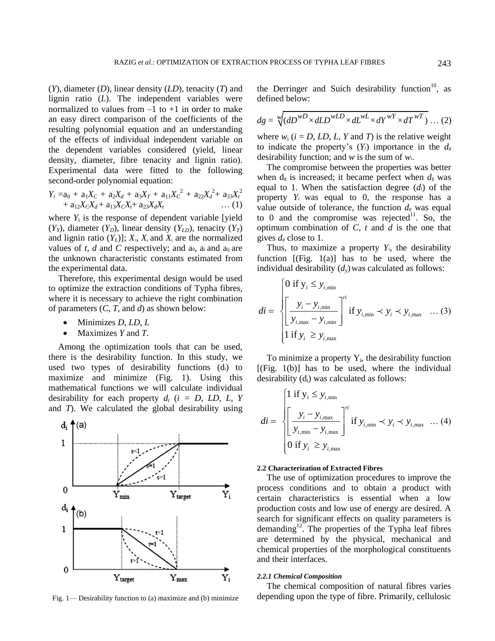(*Y*), diameter (*D*), linear density (*LD*), tenacity (*T*) and lignin ratio (*L*). The independent variables were normalized to values from  $-1$  to  $+1$  in order to make an easy direct comparison of the coefficients of the resulting polynomial equation and an understanding of the effects of individual independent variable on the dependent variables considered (yield, linear density, diameter, fibre tenacity and lignin ratio). Experimental data were fitted to the following second-order polynomial equation:

$$
Y_i = a_0 + a_1 X_C + a_2 X_d + a_3 X_T + a_{11} X_C^2 + a_{22} X_d^2 + a_{33} X_t^2
$$
  
+ 
$$
a_{12} X_C X_d + a_{13} X_C X_t + a_{23} X_d X_t \qquad \dots (1)
$$

where  $Y_i$  is the response of dependent variable [yield]  $(Y_Y)$ , diameter  $(Y_D)$ , linear density  $(Y_{LD})$ , tenacity  $(Y_T)$ and lignin ratio  $(Y_L)$ ];  $X_T$ ,  $X_d$  and  $X_c$  are the normalized values of  $t$ ,  $d$  and  $C$  respectively; and a<sub>0</sub>, a<sub>i</sub> and a<sub>ij</sub> are the unknown characteristic constants estimated from the experimental data.

Therefore, this experimental design would be used to optimize the extraction conditions of Typha fibres, where it is necessary to achieve the right combination of parameters (*C*, *T*, and *d*) as shown below:

- Minimizes *D*, *LD*, *L*
- Maximizes *Y* and *T*.

Among the optimization tools that can be used, there is the desirability function. In this study, we used two types of desirability functions (di) to maximize and minimize (Fig. 1). Using this mathematical functions we will calculate individual desirability for each property *d<sup>i</sup>* (*i = D, LD, L, Y* and *T*). We calculated the global desirability using



the Derringer and Suich desirability function<sup>10</sup>, as defined below:

$$
dg = \sqrt[w]{(dD^{WD} \times dLD^{wLD} \times dL^{wL} \times dY^{wY} \times dT^{wT})} \dots (2)
$$

where  $w_i$  ( $i = D$ , LD, L, Y and T) is the relative weight to indicate the property's  $(Y_i)$  importance in the  $d_g$ desirability function; and *w* is the sum of *wi*.

The compromise between the properties was better when  $d_g$  is increased; it became perfect when  $d_g$  was equal to 1. When the satisfaction degree (*di*) of the property  $Y_i$  was equal to 0, the response has a value outside of tolerance, the function  $d_g$  was equal to 0 and the compromise was rejected $1$ . So, the optimum combination of *C*, *t* and *d* is the one that gives  $d_{g}$  close to 1.

Thus, to maximize a property  $Y_i$ , the desirability function  $[(Fig. 1(a)]$  has to be used, where the individual desirability  $(d<sub>v</sub>)$  was calculated as follows:

$$
di = \begin{cases} 0 \text{ if } y_i \leq y_{i,\text{min}} \\ \left[ \frac{y_i - y_{i,\text{min}}}{y_{i,\text{max}} - y_{i,\text{min}}} \right]^{ri} \text{ if } y_{i,\text{min}} \prec y_i \prec y_{i,\text{max}} \quad \dots (3) \\ 1 \text{ if } y_i \geq y_{i,\text{max}} \end{cases}
$$

To minimize a property  $Y_i$ , the desirability function  $[(Fig. 1(b)]$  has to be used, where the individual desirability  $(d<sub>i</sub>)$  was calculated as follows:

$$
di = \begin{cases} 1 \text{ if } y_i \leq y_{i,\text{min}} \\ \left[ \frac{y_i - y_{i,\text{max}}}{y_{i,\text{min}} - y_{i,\text{max}}} \right]^{ri} \text{ if } y_{i,\text{min}} \prec y_i \prec y_{i,\text{max}} \quad \dots (4) \\ 0 \text{ if } y_i \geq y_{i,\text{max}} \end{cases}
$$

#### **2.2 Characterization of Extracted Fibres**

The use of optimization procedures to improve the process conditions and to obtain a product with certain characteristics is essential when a low production costs and low use of energy are desired. A search for significant effects on quality parameters is demanding $12$ . The properties of the Typha leaf fibres are determined by the physical, mechanical and chemical properties of the morphological constituents and their interfaces.

#### *2.2.1 Chemical Composition*

The chemical composition of natural fibres varies Fig. 1— Desirability function to (a) maximize and (b) minimize depending upon the type of fibre. Primarily, cellulosic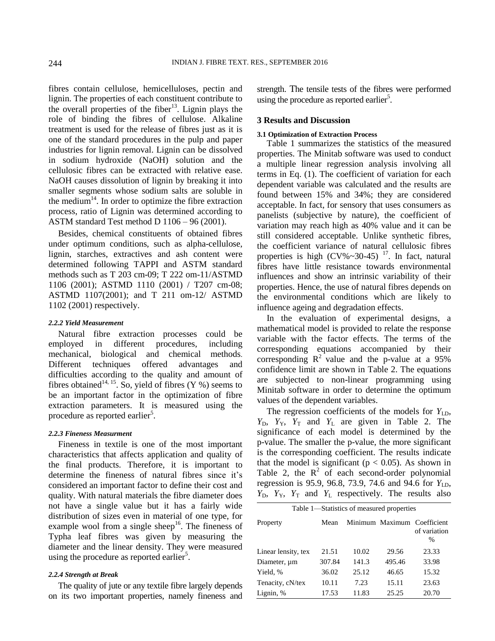fibres contain cellulose, hemicelluloses, pectin and lignin. The properties of each constituent contribute to the overall properties of the fiber<sup>13</sup>. Lignin plays the role of binding the fibres of cellulose. Alkaline treatment is used for the release of fibres just as it is one of the standard procedures in the pulp and paper industries for lignin removal. Lignin can be dissolved in sodium hydroxide (NaOH) solution and the cellulosic fibres can be extracted with relative ease. NaOH causes dissolution of lignin by breaking it into smaller segments whose sodium salts are soluble in the medium<sup>14</sup>. In order to optimize the fibre extraction process, ratio of Lignin was determined according to ASTM standard Test method D 1106 – 96 (2001).

Besides, chemical constituents of obtained fibres under optimum conditions, such as alpha-cellulose, lignin, starches, extractives and ash content were determined following TAPPI and ASTM standard methods such as T 203 cm-09; T 222 om-11/ASTMD 1106 (2001); ASTMD 1110 (2001) / T207 cm-08; ASTMD 1107(2001); and T 211 om-12/ ASTMD 1102 (2001) respectively.

#### *2.2.2 Yield Measurement*

Natural fibre extraction processes could be employed in different procedures, including mechanical, biological and chemical methods. Different techniques offered advantages and difficulties according to the quality and amount of fibres obtained<sup>14, 15</sup>. So, yield of fibres (Y %) seems to be an important factor in the optimization of fibre extraction parameters. It is measured using the procedure as reported earlier<sup>5</sup>.

#### *2.2.3 Fineness Measurment*

Fineness in textile is one of the most important characteristics that affects application and quality of the final products. Therefore, it is important to determine the fineness of natural fibres since it's considered an important factor to define their cost and quality. With natural materials the fibre diameter does not have a single value but it has a fairly wide distribution of sizes even in material of one type, for example wool from a single sheep<sup>16</sup>. The fineness of Typha leaf fibres was given by measuring the diameter and the linear density. They were measured using the procedure as reported earlier<sup>5</sup>.

## *2.2.4 Strength at Break*

The quality of jute or any textile fibre largely depends on its two important properties, namely fineness and strength. The tensile tests of the fibres were performed using the procedure as reported earlier<sup>5</sup>.

## **3 Results and Discussion**

#### **3.1 Optimization of Extraction Process**

Table 1 summarizes the statistics of the measured properties. The Minitab software was used to conduct a multiple linear regression analysis involving all terms in Eq. (1). The coefficient of variation for each dependent variable was calculated and the results are found between 15% and 34%; they are considered acceptable. In fact, for sensory that uses consumers as panelists (subjective by nature), the coefficient of variation may reach high as 40% value and it can be still considered acceptable. Unlike synthetic fibres, the coefficient variance of natural cellulosic fibres properties is high  $(CV\% \sim 30-45)$  <sup>17</sup>. In fact, natural fibres have little resistance towards environmental influences and show an intrinsic variability of their properties. Hence, the use of natural fibres depends on the environmental conditions which are likely to influence ageing and degradation effects.

In the evaluation of experimental designs, a mathematical model is provided to relate the response variable with the factor effects. The terms of the corresponding equations accompanied by their corresponding  $\mathbb{R}^2$  value and the p-value at a 95% confidence limit are shown in Table 2. The equations are subjected to non-linear programming using Minitab software in order to determine the optimum values of the dependent variables.

The regression coefficients of the models for  $Y_{\text{LD}}$ ,  $Y_D$ ,  $Y_Y$ ,  $Y_T$  and  $Y_L$  are given in Table 2. The significance of each model is determined by the p-value. The smaller the p-value, the more significant is the corresponding coefficient. The results indicate that the model is significant ( $p < 0.05$ ). As shown in Table 2, the  $R^2$  of each second-order polynomial regression is 95.9, 96.8, 73.9, 74.6 and 94.6 for *Y*<sub>LD</sub>,  $Y_{\rm D}$ ,  $Y_{\rm Y}$ ,  $Y_{\rm T}$  and  $Y_{\rm L}$  respectively. The results also

| Table 1—Statistics of measured properties |        |       |        |                                                     |  |  |  |
|-------------------------------------------|--------|-------|--------|-----------------------------------------------------|--|--|--|
| Property                                  | Mean   |       |        | Minimum Maximum Coefficient<br>of variation<br>$\%$ |  |  |  |
| Linear lensity, tex                       | 21.51  | 10.02 | 29.56  | 23.33                                               |  |  |  |
| Diameter, um                              | 307.84 | 141.3 | 495.46 | 33.98                                               |  |  |  |
| Yield, %                                  | 36.02  | 25.12 | 46.65  | 15.32                                               |  |  |  |
| Tenacity, cN/tex                          | 10.11  | 7.23  | 15.11  | 23.63                                               |  |  |  |
| Lignin, %                                 | 17.53  | 11.83 | 25.25  | 20.70                                               |  |  |  |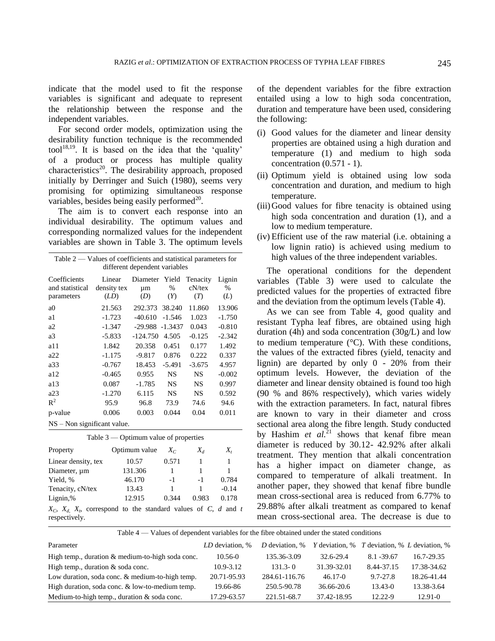indicate that the model used to fit the response variables is significant and adequate to represent the relationship between the response and the independent variables.

For second order models, optimization using the desirability function technique is the recommended tool<sup>18,19</sup>. It is based on the idea that the 'quality' of a product or process has multiple quality characteristics<sup>20</sup>. The desirability approach, proposed initially by Derringer and Suich (1980), seems very promising for optimizing simultaneous response variables, besides being easily performed $^{20}$ .

The aim is to convert each response into an individual desirability. The optimum values and corresponding normalized values for the independent variables are shown in Table 3. The optimum levels

| Table $2$ — Values of coefficients and statistical parameters for |             |                         |           |           |          |  |  |  |
|-------------------------------------------------------------------|-------------|-------------------------|-----------|-----------|----------|--|--|--|
| different dependent variables                                     |             |                         |           |           |          |  |  |  |
| Coefficients                                                      | Linear      | Diameter Yield Tenacity |           |           | Lignin   |  |  |  |
| and statistical                                                   | density tex | μm                      | $\%$      | $cN$ /tex | $\%$     |  |  |  |
| parameters                                                        | (LD)        | (D)                     | (Y)       | (T)       | (L)      |  |  |  |
| a0                                                                | 21.563      | 292.373                 | 38.240    | 11.860    | 13.906   |  |  |  |
| a1                                                                | $-1.723$    | $-40.610$               | $-1.546$  | 1.023     | $-1.750$ |  |  |  |
| a2                                                                | $-1.347$    | -29.988                 | $-1.3437$ | 0.043     | $-0.810$ |  |  |  |
| a3                                                                | $-5.833$    | $-124.750$              | 4.505     | $-0.125$  | $-2.342$ |  |  |  |
| al 1                                                              | 1.842       | 20.358                  | 0.451     | 0.177     | 1.492    |  |  |  |
| a22                                                               | $-1.175$    | -9.817                  | 0.876     | 0.222     | 0.337    |  |  |  |
| a33                                                               | $-0.767$    | 18.453                  | $-5.491$  | $-3.675$  | 4.957    |  |  |  |
| a12                                                               | $-0.465$    | 0.955                   | <b>NS</b> | <b>NS</b> | $-0.002$ |  |  |  |
| a13                                                               | 0.087       | $-1.785$                | NS.       | NS        | 0.997    |  |  |  |
| a23                                                               | $-1.270$    | 6.115                   | NS        | <b>NS</b> | 0.592    |  |  |  |
| $R^2$                                                             | 95.9        | 96.8                    | 73.9      | 74.6      | 94.6     |  |  |  |
| p-value                                                           | 0.006       | 0.003                   | 0.044     | 0.04      | 0.011    |  |  |  |
| $NS - Non$ significant value.                                     |             |                         |           |           |          |  |  |  |

| Table $3$ — Optimum value of properties                                                  |               |       |       |         |  |  |  |  |
|------------------------------------------------------------------------------------------|---------------|-------|-------|---------|--|--|--|--|
| Property                                                                                 | Optimum value | $X_C$ | $X_d$ | $X_{t}$ |  |  |  |  |
| Linear density, tex                                                                      | 10.57         | 0.571 |       | 1       |  |  |  |  |
| Diameter, um                                                                             | 131.306       |       | 1     |         |  |  |  |  |
| Yield, %                                                                                 | 46.170        | $-1$  | -1    | 0.784   |  |  |  |  |
| Tenacity, cN/tex                                                                         | 13.43         |       | 1     | $-0.14$ |  |  |  |  |
| Lignin,%                                                                                 | 12.915        | 0.344 | 0.983 | 0.178   |  |  |  |  |
| $X_C$ , $X_d$ , $X_t$ , correspond to the standard values of C, d and t<br>respectively. |               |       |       |         |  |  |  |  |

of the dependent variables for the fibre extraction entailed using a low to high soda concentration, duration and temperature have been used, considering the following:

- (i) Good values for the diameter and linear density properties are obtained using a high duration and temperature (1) and medium to high soda concentration (0.571 - 1).
- (ii) Optimum yield is obtained using low soda concentration and duration, and medium to high temperature.
- (iii)Good values for fibre tenacity is obtained using high soda concentration and duration (1), and a low to medium temperature.
- (iv) Efficient use of the raw material (i.e. obtaining a low lignin ratio) is achieved using medium to high values of the three independent variables.

The operational conditions for the dependent variables (Table 3) were used to calculate the predicted values for the properties of extracted fibre and the deviation from the optimum levels (Table 4).

As we can see from Table 4, good quality and resistant Typha leaf fibres, are obtained using high duration (4h) and soda concentration (30g/L) and low to medium temperature  $(^{\circ}C)$ . With these conditions, the values of the extracted fibres (yield, tenacity and lignin) are departed by only 0 - 20% from their optimum levels. However, the deviation of the diameter and linear density obtained is found too high (90 % and 86% respectively), which varies widely with the extraction parameters. In fact, natural fibres are known to vary in their diameter and cross sectional area along the fibre length. Study conducted by Hashim *et al.*<sup>21</sup> shows that kenaf fibre mean diameter is reduced by 30.12- 42.92% after alkali treatment. They mention that alkali concentration has a higher impact on diameter change, as compared to temperature of alkali treatment. In another paper, they showed that kenaf fibre bundle mean cross-sectional area is reduced from 6.77% to 29.88% after alkali treatment as compared to kenaf mean cross-sectional area. The decrease is due to

Table 4 — Values of dependent variables for the fibre obtained under the stated conditions

| Parameter                                        | LD deviation, % | D deviation, % | <i>Y</i> deviation, % <i>T</i> deviation, % <i>L</i> deviation, % |               |             |
|--------------------------------------------------|-----------------|----------------|-------------------------------------------------------------------|---------------|-------------|
| High temp., duration & medium-to-high soda conc. | $10.56 - 0$     | 135.36-3.09    | 32.6-29.4                                                         | $8.1 - 39.67$ | 16.7-29.35  |
| High temp., duration $&$ soda conc.              | $10.9 - 3.12$   | $131.3 - 0$    | 31.39-32.01                                                       | 8.44-37.15    | 17.38-34.62 |
| Low duration, soda conc. & medium-to-high temp.  | 20.71-95.93     | 284.61-116.76  | $46.17 - 0$                                                       | 9.7-27.8      | 18.26-41.44 |
| High duration, soda conc. & low-to-medium temp.  | 19.66-86        | 250.5-90.78    | 36.66-20.6                                                        | $13.43 - 0$   | 13.38-3.64  |
| Medium-to-high temp., duration $&$ soda conc.    | 17.29-63.57     | 221.51-68.7    | 37.42-18.95                                                       | 12.22-9       | $12.91 - 0$ |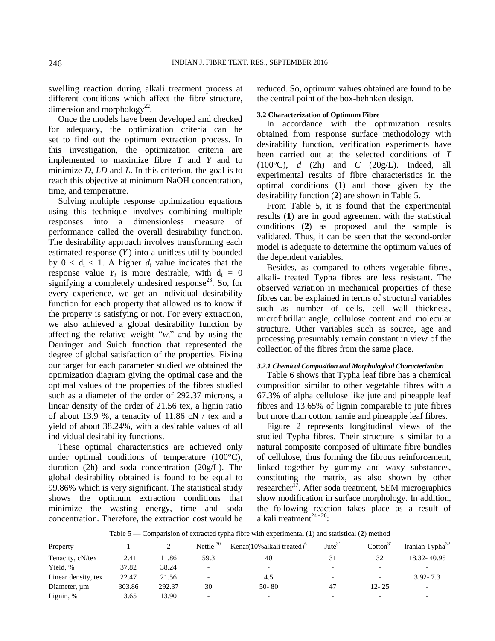swelling reaction during alkali treatment process at different conditions which affect the fibre structure, dimension and morphology<sup>22</sup>.

Once the models have been developed and checked for adequacy, the optimization criteria can be set to find out the optimum extraction process. In this investigation, the optimization criteria are implemented to maximize fibre *T* and *Y* and to minimize *D*, *LD* and *L*. In this criterion, the goal is to reach this objective at minimum NaOH concentration, time, and temperature.

Solving multiple response optimization equations using this technique involves combining multiple responses into a dimensionless measure of performance called the overall desirability function. The desirability approach involves transforming each estimated response  $(Y_i)$  into a unitless utility bounded by  $0 < d_i < 1$ . A higher  $d_i$  value indicates that the response value  $Y_i$  is more desirable, with  $d_i = 0$ signifying a completely undesired response<sup>23</sup>. So, for every experience, we get an individual desirability function for each property that allowed us to know if the property is satisfying or not. For every extraction, we also achieved a global desirability function by affecting the relative weight " $w_i$ " and by using the Derringer and Suich function that represented the degree of global satisfaction of the properties. Fixing our target for each parameter studied we obtained the optimization diagram giving the optimal case and the optimal values of the properties of the fibres studied such as a diameter of the order of 292.37 microns, a linear density of the order of 21.56 tex, a lignin ratio of about 13.9 %, a tenacity of 11.86 cN / tex and a yield of about 38.24%, with a desirable values of all individual desirability functions.

These optimal characteristics are achieved only under optimal conditions of temperature  $(100^{\circ}C)$ , duration (2h) and soda concentration (20g/L). The global desirability obtained is found to be equal to 99.86% which is very significant. The statistical study shows the optimum extraction conditions that minimize the wasting energy, time and soda concentration. Therefore, the extraction cost would be

reduced. So, optimum values obtained are found to be the central point of the box-behnken design.

#### **3.2 Characterization of Optimum Fibre**

In accordance with the optimization results obtained from response surface methodology with desirability function, verification experiments have been carried out at the selected conditions of *T* (100°C), *d* (2h) and *C* (20g/L). Indeed, all experimental results of fibre characteristics in the optimal conditions (**1**) and those given by the desirability function (**2**) are shown in Table 5.

From Table 5, it is found that the experimental results (**1**) are in good agreement with the statistical conditions (**2**) as proposed and the sample is validated. Thus, it can be seen that the second-order model is adequate to determine the optimum values of the dependent variables.

Besides, as compared to others vegetable fibres, alkali- treated Typha fibres are less resistant. The observed variation in mechanical properties of these fibres can be explained in terms of structural variables such as number of cells, cell wall thickness, microfibrillar angle, cellulose content and molecular structure. Other variables such as source, age and processing presumably remain constant in view of the collection of the fibres from the same place.

## *3.2.1 Chemical Composition and Morphological Characterization*

Table 6 shows that Typha leaf fibre has a chemical composition similar to other vegetable fibres with a 67.3% of alpha cellulose like jute and pineapple leaf fibres and 13.65% of lignin comparable to jute fibres but more than cotton, ramie and pineapple leaf fibres.

Figure 2 represents longitudinal views of the studied Typha fibres. Their structure is similar to a natural composite composed of ultimate fibre bundles of cellulose, thus forming the fibrous reinforcement, linked together by gummy and waxy substances, constituting the matrix, as also shown by other researcher<sup>17</sup>. After soda treatment, SEM micrographics show modification in surface morphology. In addition, the following reaction takes place as a result of alkali treatment $^{24-26}$ :

| Table 5 — Comparision of extracted typha fibre with experimental $(1)$ and statistical $(2)$ method |        |        |                          |                                            |                          |                          |                             |
|-----------------------------------------------------------------------------------------------------|--------|--------|--------------------------|--------------------------------------------|--------------------------|--------------------------|-----------------------------|
| Property                                                                                            |        |        | Nettle $30$              | Kenaf $(10\%$ alkali treated) <sup>o</sup> | $\text{Jute}^{31}$       | $\mathrm{Cotton}^{31}$   | Iranian Typha <sup>32</sup> |
| Tenacity, cN/tex                                                                                    | 12.41  | 11.86  | 59.3                     | 40                                         | 31                       | 32                       | 18.32 - 40.95               |
| Yield, %                                                                                            | 37.82  | 38.24  | $\overline{\phantom{a}}$ | $\overline{\phantom{0}}$                   |                          | $\overline{\phantom{0}}$ |                             |
| Linear density, tex                                                                                 | 22.47  | 21.56  |                          | 4.5                                        | $\overline{\phantom{0}}$ | $\overline{\phantom{0}}$ | $3.92 - 7.3$                |
| Diameter, um                                                                                        | 303.86 | 292.37 | 30                       | $50 - 80$                                  | 47                       | $12 - 25$                | $\overline{\phantom{0}}$    |
| Lignin, $%$                                                                                         | 13.65  | 13.90  | $\overline{\phantom{a}}$ | $\overline{\phantom{0}}$                   | $\overline{\phantom{0}}$ | $\overline{\phantom{0}}$ | -                           |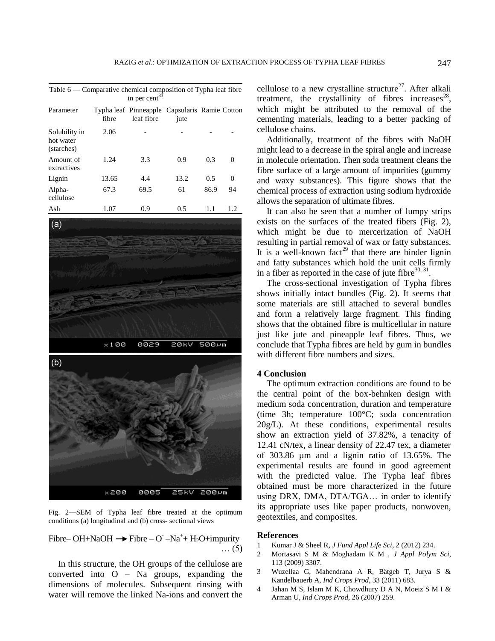| Table $6$ — Comparative chemical composition of Typha leaf fibre<br>in per cent $33$ |       |                                                             |      |      |          |  |  |
|--------------------------------------------------------------------------------------|-------|-------------------------------------------------------------|------|------|----------|--|--|
| Parameter                                                                            | fibre | Typha leaf Pinneapple Capsularis Ramie Cotton<br>leaf fibre | jute |      |          |  |  |
| Solubility in<br>hot water<br>(starches)                                             | 2.06  |                                                             |      |      |          |  |  |
| Amount of<br>extractives                                                             | 1.24  | 3.3                                                         | 0.9  | 0.3  | 0        |  |  |
| Lignin                                                                               | 13.65 | 4.4                                                         | 13.2 | 0.5  | $\theta$ |  |  |
| Alpha-<br>cellulose                                                                  | 67.3  | 69.5                                                        | 61   | 86.9 | 94       |  |  |
| Ash                                                                                  | 1.07  | 0.9                                                         | 0.5  | 1.1  | 1.2.     |  |  |



Fig. 2—SEM of Typha leaf fibre treated at the optimum conditions (a) longitudinal and (b) cross- sectional views

Fibre–OH+NaOH  $\rightarrow$  Fibre – O' –Na<sup>+</sup>+ H<sub>2</sub>O+impurity … (5)

In this structure, the OH groups of the cellulose are converted into O – Na groups, expanding the dimensions of molecules. Subsequent rinsing with water will remove the linked Na-ions and convert the

cellulose to a new crystalline structure<sup>27</sup>. After alkali treatment, the crystallinity of fibres increases<sup>28</sup>, which might be attributed to the removal of the cementing materials, leading to a better packing of cellulose chains.

Additionally, treatment of the fibres with NaOH might lead to a decrease in the spiral angle and increase in molecule orientation. Then soda treatment cleans the fibre surface of a large amount of impurities (gummy and waxy substances). This figure shows that the chemical process of extraction using sodium hydroxide allows the separation of ultimate fibres.

It can also be seen that a number of lumpy strips exists on the surfaces of the treated fibers (Fig. 2), which might be due to mercerization of NaOH resulting in partial removal of wax or fatty substances. It is a well-known fact<sup>29</sup> that there are binder lignin and fatty substances which hold the unit cells firmly in a fiber as reported in the case of jute fibre  $30, 31$ .

The cross-sectional investigation of Typha fibres shows initially intact bundles (Fig. 2). It seems that some materials are still attached to several bundles and form a relatively large fragment. This finding shows that the obtained fibre is multicellular in nature just like jute and pineapple leaf fibres. Thus, we conclude that Typha fibres are held by gum in bundles with different fibre numbers and sizes.

## **4 Conclusion**

The optimum extraction conditions are found to be the central point of the box-behnken design with medium soda concentration, duration and temperature (time 3h; temperature 100°C; soda concentration  $20g/L$ ). At these conditions, experimental results show an extraction yield of 37.82%, a tenacity of 12.41 cN/tex, a linear density of 22.47 tex, a diameter of 303.86 µm and a lignin ratio of 13.65%. The experimental results are found in good agreement with the predicted value. The Typha leaf fibres obtained must be more characterized in the future using DRX, DMA, DTA/TGA… in order to identify its appropriate uses like paper products, nonwoven, geotextiles, and composites.

## **References**

- 1 Kumar J & Sheel R, *J Fund Appl Life Sci*, 2 (2012) 234.
- 2 Mortasavi S M & Moghadam K M , *J Appl Polym Sci*, 113 (2009) 3307.
- 3 Wuzellaa G, Mahendrana A R, Bätgeb T, Jurya S & Kandelbauerb A, *Ind Crops Prod*, 33 (2011) 683.
- 4 Jahan M S, Islam M K, Chowdhury D A N, Moeiz S M I & Arman U, *Ind Crops Prod,* 26 (2007) 259.